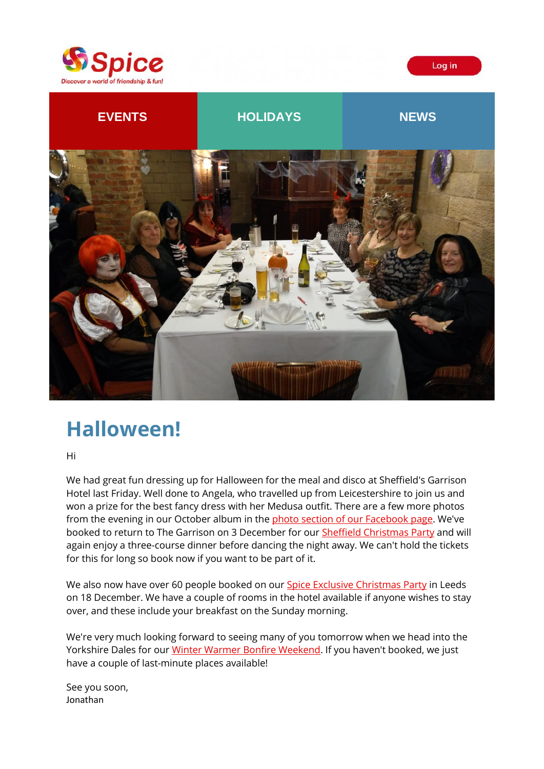





# **Halloween!**

Hi

We had great fun dressing up for Halloween for the meal and disco at Sheffield's Garrison Hotel last Friday. Well done to Angela, who travelled up from Leicestershire to join us and won a prize for the best fancy dress with her Medusa outfit. There are a few more photos from the evening in our October album in the [photo section of our Facebook page.](https://spiceuk.lt.acemlna.com/Prod/link-tracker?redirectUrl=aHR0cHMlM0ElMkYlMkZ3d3cuZmFjZWJvb2suY29tJTJGU3BpY2VZb3Jrc2hpcmUlMkZwaG90b3M=&sig=9R9q69AksgKi3RrCLJLLMaKQZQGwsFky5ACkoTwkpe7c&iat=1636033262&a=%7C%7C650344965%7C%7C&account=spiceuk%2Eactivehosted%2Ecom&email=1lNuJE%2BrfgC%2F8jRYTdcwIV8mo4ad0FCroTtAVDq%2FbzQ%3D&s=b900027c55ea3ffe9431fd4817f89468&i=203A218A4A5037) We've booked to return to The Garrison on 3 December for our **Sheffield Christmas Party and will** again enjoy a three-course dinner before dancing the night away. We can't hold the tickets for this for long so book now if you want to be part of it.

We also now have over 60 people booked on our **Spice Exclusive Christmas Party in Leeds** on 18 December. We have a couple of rooms in the hotel available if anyone wishes to stay over, and these include your breakfast on the Sunday morning.

We're very much looking forward to seeing many of you tomorrow when we head into the Yorkshire Dales for our [Winter Warmer Bonfire Weekend.](https://spiceuk.lt.acemlna.com/Prod/link-tracker?redirectUrl=aHR0cHMlM0ElMkYlMkZ3d3cuc3BpY2V1ay5jb20lMkZldmVudHMtaG9saWRheXMlMkZ3aW50ZXItd2FybWVyLWJvbmZpcmUtd2Vla2VuZC0wNi1ub3YtMjA=&sig=2FCxQWVWUGaLV9BdKZvJtV4i7kaPePHn1iscRzFSKHWH&iat=1636033262&a=%7C%7C650344965%7C%7C&account=spiceuk%2Eactivehosted%2Ecom&email=1lNuJE%2BrfgC%2F8jRYTdcwIV8mo4ad0FCroTtAVDq%2FbzQ%3D&s=b900027c55ea3ffe9431fd4817f89468&i=203A218A4A5051) If you haven't booked, we just have a couple of last-minute places available!

See you soon, Jonathan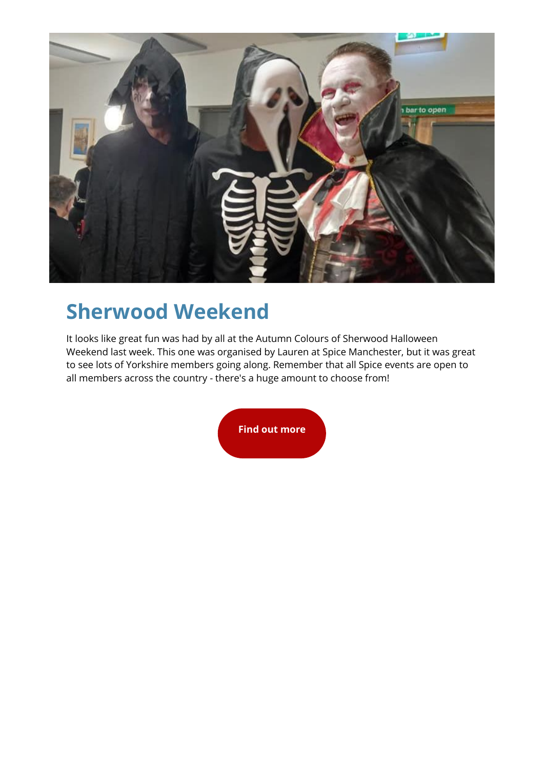

# **Sherwood Weekend**

It looks like great fun was had by all at the Autumn Colours of Sherwood Halloween Weekend last week. This one was organised by Lauren at Spice Manchester, but it was great to see lots of Yorkshire members going along. Remember that all Spice events are open to all members across the country - there's a huge amount to choose from!

**[Find out more](https://spiceuk.lt.acemlna.com/Prod/link-tracker?redirectUrl=aHR0cHMlM0ElMkYlMkZ3d3cuc3BpY2V1ay5jb20lMkZldmVudHMtaG9saWRheXMlM0Zvd25lciUzREFsbCUyNm1hc3RlckNhdGVnb3J5JTNESG9saWRheXMlMjZtYXN0ZXJDYXRlZ29yeSUzRFdlZWtlbmRzJTI1MjBBd2F5&sig=CafheZgBz6G7N4bLE9eQdm6FUCdbM7WeN8QVSS9k8XzF&iat=1636033262&a=%7C%7C650344965%7C%7C&account=spiceuk%2Eactivehosted%2Ecom&email=1lNuJE%2BrfgC%2F8jRYTdcwIV8mo4ad0FCroTtAVDq%2FbzQ%3D&s=b900027c55ea3ffe9431fd4817f89468&i=203A218A4A5049)**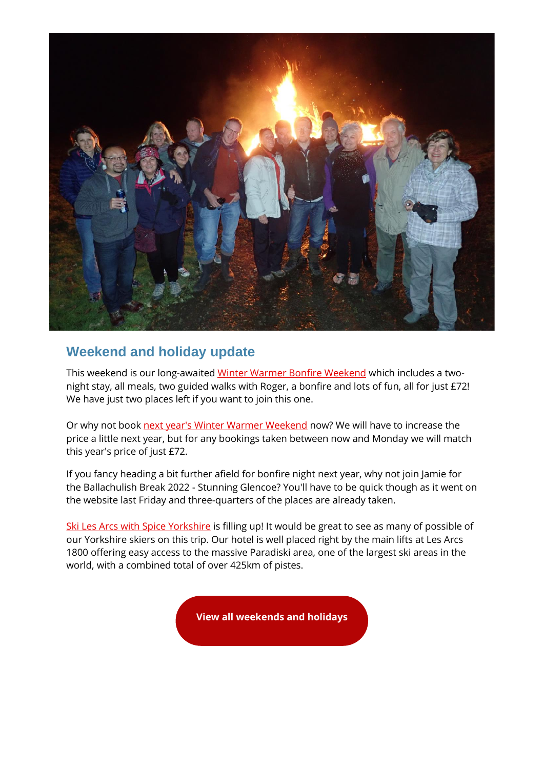

### **Weekend and holiday update**

This weekend is our long-awaited [Winter Warmer Bonfire Weekend](https://spiceuk.lt.acemlna.com/Prod/link-tracker?redirectUrl=aHR0cHMlM0ElMkYlMkZ3d3cuc3BpY2V1ay5jb20lMkZldmVudHMtaG9saWRheXMlMkZ3aW50ZXItd2FybWVyLWJvbmZpcmUtd2Vla2VuZC0wNi1ub3YtMjA=&sig=2FCxQWVWUGaLV9BdKZvJtV4i7kaPePHn1iscRzFSKHWH&iat=1636033262&a=%7C%7C650344965%7C%7C&account=spiceuk%2Eactivehosted%2Ecom&email=1lNuJE%2BrfgC%2F8jRYTdcwIV8mo4ad0FCroTtAVDq%2FbzQ%3D&s=b900027c55ea3ffe9431fd4817f89468&i=203A218A4A5051) which includes a twonight stay, all meals, two guided walks with Roger, a bonfire and lots of fun, all for just £72! We have just two places left if you want to join this one.

Or why not book [next year's Winter Warmer Weekend](https://spiceuk.lt.acemlna.com/Prod/link-tracker?redirectUrl=aHR0cHMlM0ElMkYlMkZ3d3cuc3BpY2V1ay5jb20lMkZldmVudHMtaG9saWRheXMlMkZ3aW50ZXItd2FybWVyLWJvbmZpcmUtd2Vla2VuZC0wNC1ub3YtMjI=&sig=HqGV3uttJJWiS8VeUz4ZKYSycvRjWD5wFo9GUzTi2FY6&iat=1636033262&a=%7C%7C650344965%7C%7C&account=spiceuk%2Eactivehosted%2Ecom&email=1lNuJE%2BrfgC%2F8jRYTdcwIV8mo4ad0FCroTtAVDq%2FbzQ%3D&s=b900027c55ea3ffe9431fd4817f89468&i=203A218A4A5138) now? We will have to increase the price a little next year, but for any bookings taken between now and Monday we will match this year's price of just £72.

If you fancy heading a bit further afield for bonfire night next year, why not join Jamie for the Ballachulish Break 2022 - Stunning Glencoe? You'll have to be quick though as it went on the website last Friday and three-quarters of the places are already taken.

[Ski Les Arcs with Spice Yorkshire](https://spiceuk.lt.acemlna.com/Prod/link-tracker?redirectUrl=aHR0cHMlM0ElMkYlMkZ3d3cuc3BpY2V1ay5jb20lMkZldmVudHMtaG9saWRheXMlMkZza2ktbGVzLWFyY3Mtd2l0aC1zcGljZS15b3Jrc2hpcmU=&sig=4QPaFRVTGXd9xLJcQzL5BG32TVjgbjAXe7ZYvfUkPuRy&iat=1636033262&a=%7C%7C650344965%7C%7C&account=spiceuk%2Eactivehosted%2Ecom&email=1lNuJE%2BrfgC%2F8jRYTdcwIV8mo4ad0FCroTtAVDq%2FbzQ%3D&s=b900027c55ea3ffe9431fd4817f89468&i=203A218A4A5053) is filling up! It would be great to see as many of possible of our Yorkshire skiers on this trip. Our hotel is well placed right by the main lifts at Les Arcs 1800 offering easy access to the massive Paradiski area, one of the largest ski areas in the world, with a combined total of over 425km of pistes.

**[View all weekends and holidays](https://spiceuk.lt.acemlna.com/Prod/link-tracker?redirectUrl=aHR0cHMlM0ElMkYlMkZ3d3cuc3BpY2V1ay5jb20lMkZldmVudHMtaG9saWRheXMlM0Zvd25lciUzREFsbCUyNm1hc3RlckNhdGVnb3J5JTNESG9saWRheXMlMjZtYXN0ZXJDYXRlZ29yeSUzRFdlZWtlbmRzJTI1MjBBd2F5&sig=CafheZgBz6G7N4bLE9eQdm6FUCdbM7WeN8QVSS9k8XzF&iat=1636033262&a=%7C%7C650344965%7C%7C&account=spiceuk%2Eactivehosted%2Ecom&email=1lNuJE%2BrfgC%2F8jRYTdcwIV8mo4ad0FCroTtAVDq%2FbzQ%3D&s=b900027c55ea3ffe9431fd4817f89468&i=203A218A4A5049)**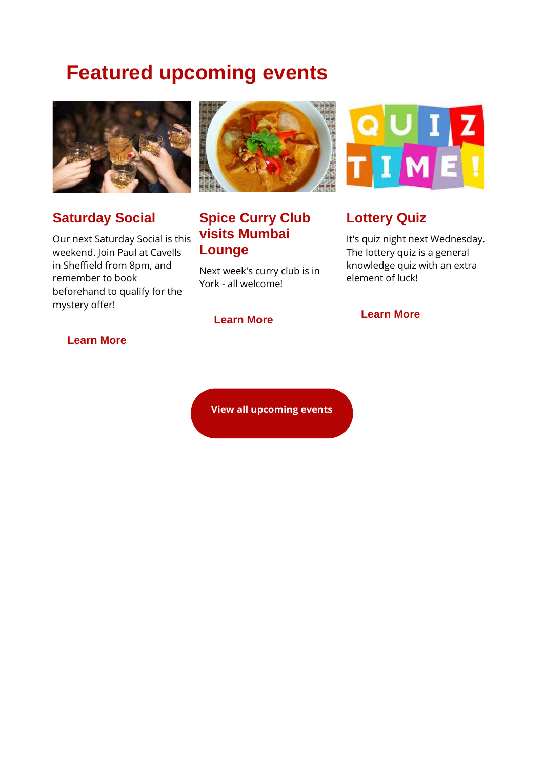# **Featured upcoming events**



## **Saturday Social**

Our next Saturday Social is this weekend. Join Paul at Cavells in Sheffield from 8pm, and remember to book beforehand to qualify for the mystery offer!



## **Spice Curry Club visits Mumbai Lounge**

Next week's curry club is in York - all welcome!

**[View all upcoming events](https://spiceuk.lt.acemlna.com/Prod/link-tracker?redirectUrl=aHR0cHMlM0ElMkYlMkZ3d3cuc3BpY2V1ay5jb20lMkZldmVudHMtaG9saWRheXMlM0ZtYXN0ZXJDYXRlZ29yeSUzREFsbCUyNmNhdGVnb3J5JTNEQWxsJTI2b3duZXIlM0RBbGw=&sig=B5omcfBzG5vC4W9LoVeazuW7xfJujdtu5sLJJVBgSbok&iat=1636033262&a=%7C%7C650344965%7C%7C&account=spiceuk%2Eactivehosted%2Ecom&email=1lNuJE%2BrfgC%2F8jRYTdcwIV8mo4ad0FCroTtAVDq%2FbzQ%3D&s=b900027c55ea3ffe9431fd4817f89468&i=203A218A4A5058)**



### **Lottery Quiz**

It's quiz night next Wednesday. The lottery quiz is a general knowledge quiz with an extra element of luck!

#### **[Learn More](https://spiceuk.lt.acemlna.com/Prod/link-tracker?redirectUrl=aHR0cHMlM0ElMkYlMkZ3d3cuc3BpY2V1ay5jb20lMkZldmVudHMtaG9saWRheXMlMkZzYXR1cmRheS1zb2NpYWwtaW4tc2hlZmZpZWxkLTA2LW5vdi0yMQ==&sig=7jVTHsSwCrQXLEhpfMmBdfeDUmeS7AjzM3qkDrjjBo2F&iat=1636033262&a=%7C%7C650344965%7C%7C&account=spiceuk%2Eactivehosted%2Ecom&email=1lNuJE%2BrfgC%2F8jRYTdcwIV8mo4ad0FCroTtAVDq%2FbzQ%3D&s=b900027c55ea3ffe9431fd4817f89468&i=203A218A4A5139)**

**[Learn More](https://spiceuk.lt.acemlna.com/Prod/link-tracker?redirectUrl=aHR0cHMlM0ElMkYlMkZ3d3cuc3BpY2V1ay5jb20lMkZldmVudHMtaG9saWRheXMlMkZzcGljZS1jdXJyeS1jbHViLXZpc2l0cy1tdW1iYWktbG91bmdlLXlvcms=&sig=9QJioWsfimVANsNZLDHqeDsH8Ap3QehQDET2AHtBdTNA&iat=1636033262&a=%7C%7C650344965%7C%7C&account=spiceuk%2Eactivehosted%2Ecom&email=1lNuJE%2BrfgC%2F8jRYTdcwIV8mo4ad0FCroTtAVDq%2FbzQ%3D&s=b900027c55ea3ffe9431fd4817f89468&i=203A218A4A5140) [Learn More](https://spiceuk.lt.acemlna.com/Prod/link-tracker?redirectUrl=aHR0cHMlM0ElMkYlMkZ3d3cuc3BpY2V1ay5jb20lMkZldmVudHMtaG9saWRheXMlM0ZtYXN0ZXJDYXRlZ29yeSUzREFsbCUyNmNhdGVnb3J5JTNEUXVpeiUyNTIwbmlnaHQlMjZvd25lciUzRFNwaWNlJTI1MjBZb3Jrc2hpcmU=&sig=HYPH7ApJsbHEy8pzrFsgiFc6Qg6gxGawY3QpaqdvQaG&iat=1636033262&a=%7C%7C650344965%7C%7C&account=spiceuk%2Eactivehosted%2Ecom&email=1lNuJE%2BrfgC%2F8jRYTdcwIV8mo4ad0FCroTtAVDq%2FbzQ%3D&s=b900027c55ea3ffe9431fd4817f89468&i=203A218A4A5057)**